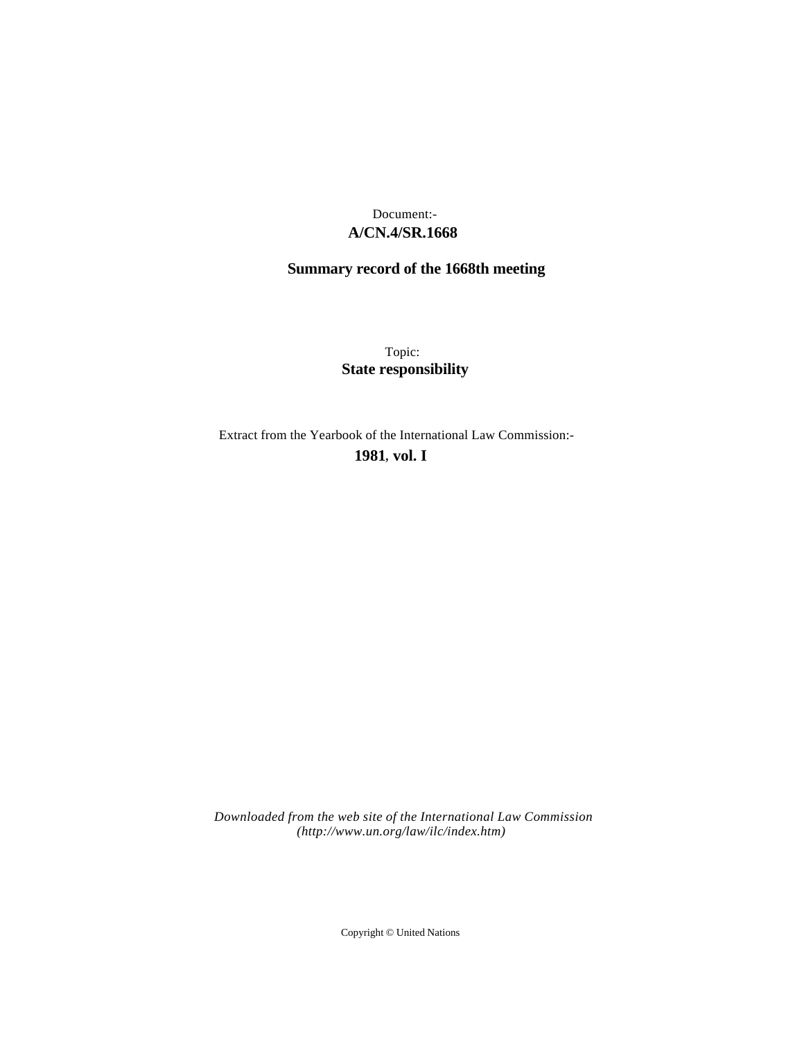## **A/CN.4/SR.1668** Document:-

# **Summary record of the 1668th meeting**

Topic: **State responsibility**

Extract from the Yearbook of the International Law Commission:-

**1981** , **vol. I**

*Downloaded from the web site of the International Law Commission (http://www.un.org/law/ilc/index.htm)*

Copyright © United Nations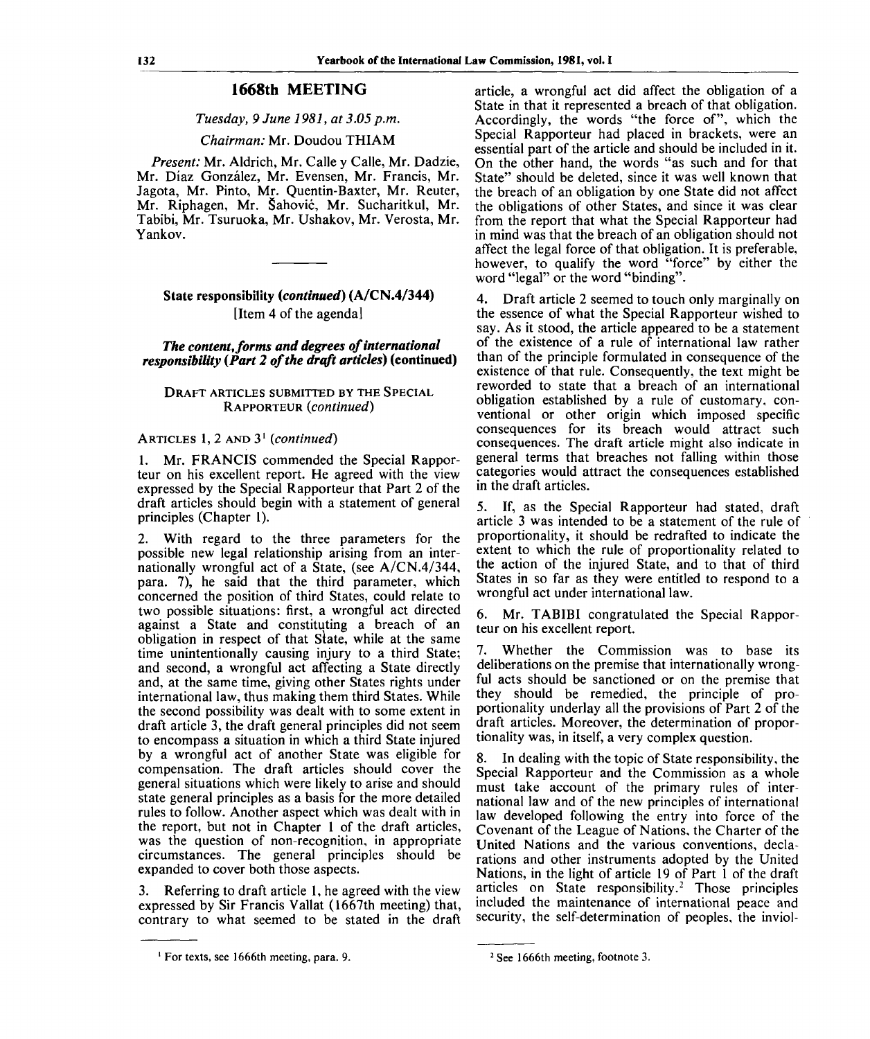### **1668th MEETING**

#### *Tuesday, 9 June 1981, at 3.05 p.m.*

#### *Chairman:* Mr. Doudou THIAM

*Present:* Mr. Aldrich, Mr. Calle y Calle, Mr. Dadzie, Mr. Diaz Gonzalez, Mr. Evensen, Mr. Francis, Mr. Jagota, Mr. Pinto, Mr. Quentin-Baxter, Mr. Reuter, Mr. Riphagen, Mr. Sahovic, Mr. Sucharitkul, Mr. Tabibi, Mr. Tsuruoka, Mr. Ushakov, Mr. Verosta, Mr. Yankov.

### **State responsibility** *{continued)* **(A/CN.4/344)** [Item 4 of the agenda]

*The content, forms and degrees of international responsibility (Part 2 of the draft articles)* **(continued)**

#### DRAFT ARTICLES SUBMITTED BY THE SPECIAL RAPPORTEUR *(continued)*

## ARTICLES 1, 2 AND 3<sup>1</sup>  *(continued)*

Mr. FRANCIS commended the Special Rapporteur on his excellent report. He agreed with the view expressed by the Special Rapporteur that Part 2 of the draft articles should begin with a statement of general principles (Chapter 1).

2. With regard to the three parameters for the possible new legal relationship arising from an internationally wrongful act of a State, (see A/CN.4/344, para. 7), he said that the third parameter, which concerned the position of third States, could relate to two possible situations: first, a wrongful act directed against a State and constituting a breach of an obligation in respect of that Slate, while at the same time unintentionally causing injury to a third State; and second, a wrongful act affecting a State directly and, at the same time, giving other States rights under international law, thus making them third States. While the second possibility was dealt with to some extent in draft article 3, the draft general principles did not seem to encompass a situation in which a third State injured by a wrongful act of another State was eligible for compensation. The draft articles should cover the general situations which were likely to arise and should state general principles as a basis for the more detailed rules to follow. Another aspect which was dealt with in the report, but not in Chapter 1 of the draft articles, was the question of non-recognition, in appropriate circumstances. The general principles should be expanded to cover both those aspects.

3. Referring to draft article 1, he agreed with the view expressed by Sir Francis Vallat (1667th meeting) that, contrary to what seemed to be stated in the draft article, a wrongful act did affect the obligation of a State in that it represented a breach of that obligation. Accordingly, the words "the force of", which the Special Rapporteur had placed in brackets, were an essential part of the article and should be included in it. On the other hand, the words "as such and for that State" should be deleted, since it was well known that the breach of an obligation by one State did not affect the obligations of other States, and since it was clear from the report that what the Special Rapporteur had in mind was that the breach of an obligation should not affect the legal force of that obligation. It is preferable, however, to qualify the word "force" by either the word "legal" or the word "binding".

4. Draft article 2 seemed to touch only marginally on the essence of what the Special Rapporteur wished to say. As it stood, the article appeared to be a statement of the existence of a rule of international law rather than of the principle formulated in consequence of the existence of that rule. Consequently, the text might be reworded to state that a breach of an international obligation established by a rule of customary, conventional or other origin which imposed specific consequences for its breach would attract such consequences. The draft article might also indicate in general terms that breaches not falling within those categories would attract the consequences established in the draft articles.

5. If, as the Special Rapporteur had stated, draft article 3 was intended to be a statement of the rule of proportionality, it should be redrafted to indicate the extent to which the rule of proportionality related to the action of the injured State, and to that of third States in so far as they were entitled to respond to a wrongful act under international law.

6. Mr. TABIBI congratulated the Special Rapporteur on his excellent report.

7. Whether the Commission was to base its deliberations on the premise that internationally wrongful acts should be sanctioned or on the premise that they should be remedied, the principle of proportionality underlay all the provisions of Part 2 of the draft articles. Moreover, the determination of proportionality was, in itself, a very complex question.

8. In dealing with the topic of State responsibility, the Special Rapporteur and the Commission as a whole must take account of the primary rules of international law and of the new principles of international law developed following the entry into force of the Covenant of the League of Nations, the Charter of the United Nations and the various conventions, declarations and other instruments adopted by the United Nations, in the light of article 19 of Part 1 of the draft articles on State responsibility.<sup>2</sup> Those principles included the maintenance of international peace and security, the self-determination of peoples, the inviol-

For texts, see 1666th meeting, para. 9.

<sup>&</sup>lt;sup>2</sup> See 1666th meeting, footnote 3.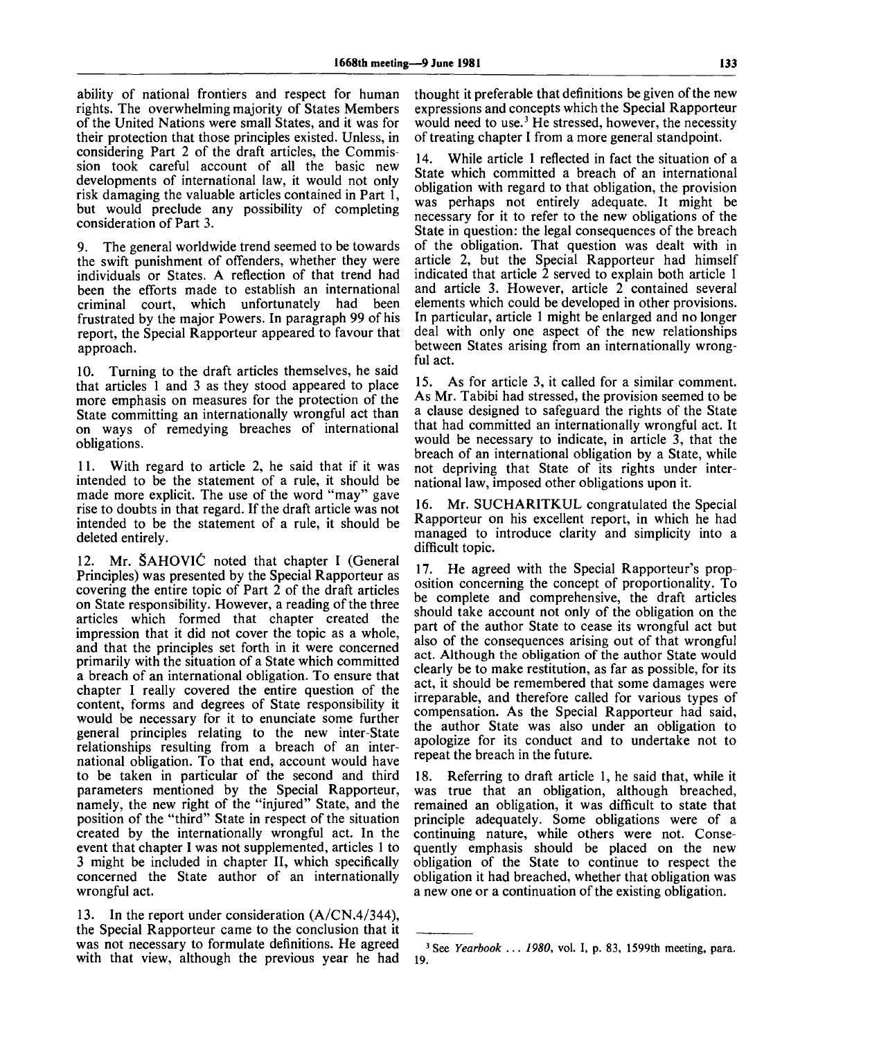ability of national frontiers and respect for human rights. The overwhelming majority of States Members of the United Nations were small States, and it was for their protection that those principles existed. Unless, in considering Part 2 of the draft articles, the Commission took careful account of all the basic new developments of international law, it would not only risk damaging the valuable articles contained in Part 1, but would preclude any possibility of completing consideration of Part 3.

9. The general worldwide trend seemed to be towards the swift punishment of offenders, whether they were individuals or States. A reflection of that trend had been the efforts made to establish an international criminal court, which unfortunately had been frustrated by the major Powers. In paragraph 99 of his report, the Special Rapporteur appeared to favour that approach.

10. Turning to the draft articles themselves, he said that articles 1 and 3 as they stood appeared to place more emphasis on measures for the protection of the State committing an internationally wrongful act than on ways of remedying breaches of international obligations.

11. With regard to article 2, he said that if it was intended to be the statement of a rule, it should be made more explicit. The use of the word "may" gave rise to doubts in that regard. If the draft article was not intended to be the statement of a rule, it should be deleted entirely.

12. Mr. SAHOVIC noted that chapter I (General Principles) was presented by the Special Rapporteur as covering the entire topic of Part 2 of the draft articles on State responsibility. However, a reading of the three articles which formed that chapter created the impression that it did not cover the topic as a whole, and that the principles set forth in it were concerned primarily with the situation of a State which committed a breach of an international obligation. To ensure that chapter I really covered the entire question of the content, forms and degrees of State responsibility it would be necessary for it to enunciate some further general principles relating to the new inter-State relationships resulting from a breach of an international obligation. To that end, account would have to be taken in particular of the second and third parameters mentioned by the Special Rapporteur, namely, the new right of the "injured" State, and the position of the "third" State in respect of the situation created by the internationally wrongful act. In the event that chapter I was not supplemented, articles 1 to 3 might be included in chapter II, which specifically concerned the State author of an internationally wrongful act.

13. In the report under consideration (A/CN.4/344), the Special Rapporteur came to the conclusion that it was not necessary to formulate definitions. He agreed with that view, although the previous year he had

thought it preferable that definitions be given of the new expressions and concepts which the Special Rapporteur would need to use.<sup>3</sup> He stressed, however, the necessity of treating chapter I from a more general standpoint.

14. While article 1 reflected in fact the situation of a State which committed a breach of an international obligation with regard to that obligation, the provision was perhaps not entirely adequate. It might be necessary for it to refer to the new obligations of the State in question: the legal consequences of the breach of the obligation. That question was dealt with in article 2, but the Special Rapporteur had himself indicated that article 2 served to explain both article 1 and article 3. However, article 2 contained several elements which could be developed in other provisions. In particular, article 1 might be enlarged and no longer deal with only one aspect of the new relationships between States arising from an internationally wrongful act.

15. As for article 3, it called for a similar comment. As Mr. Tabibi had stressed, the provision seemed to be a clause designed to safeguard the rights of the State that had committed an internationally wrongful act. It would be necessary to indicate, in article 3, that the breach of an international obligation by a State, while not depriving that State of its rights under international law, imposed other obligations upon it.

16. Mr. SUCHARITKUL congratulated the Special Rapporteur on his excellent report, in which he had managed to introduce clarity and simplicity into a difficult topic.

17. He agreed with the Special Rapporteur's proposition concerning the concept of proportionality. To be complete and comprehensive, the draft articles should take account not only of the obligation on the part of the author State to cease its wrongful act but also of the consequences arising out of that wrongful act. Although the obligation of the author State would clearly be to make restitution, as far as possible, for its act, it should be remembered that some damages were irreparable, and therefore called for various types of compensation. As the Special Rapporteur had said, the author State was also under an obligation to apologize for its conduct and to undertake not to repeat the breach in the future.

18. Referring to draft article 1, he said that, while it was true that an obligation, although breached, remained an obligation, it was difficult to state that principle adequately. Some obligations were of a continuing nature, while others were not. Consequently emphasis should be placed on the new obligation of the State to continue to respect the obligation it had breached, whether that obligation was a new one or a continuation of the existing obligation.

<sup>19.</sup> 3 See *Yearbook ... 1980,* vol. I, p. 83, 1599th meeting, para.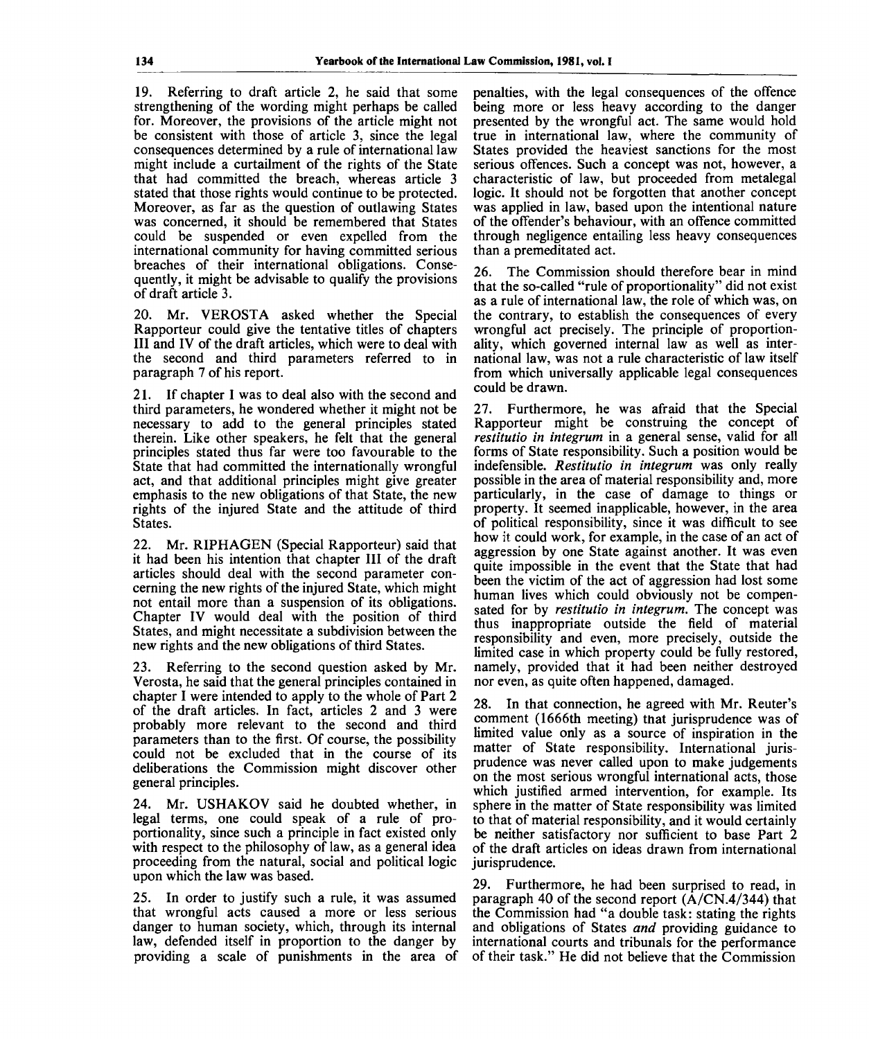19. Referring to draft article 2, he said that some strengthening of the wording might perhaps be called for. Moreover, the provisions of the article might not be consistent with those of article 3, since the legal consequences determined by a rule of international law might include a curtailment of the rights of the State that had committed the breach, whereas article 3 stated that those rights would continue to be protected. Moreover, as far as the question of outlawing States was concerned, it should be remembered that States could be suspended or even expelled from the international community for having committed serious breaches of their international obligations. Consequently, it might be advisable to qualify the provisions of draft article 3.

20. Mr. VEROSTA asked whether the Special Rapporteur could give the tentative titles of chapters III and IV of the draft articles, which were to deal with the second and third parameters referred to in paragraph 7 of his report.

21. If chapter I was to deal also with the second and third parameters, he wondered whether it might not be necessary to add to the general principles stated therein. Like other speakers, he felt that the general principles stated thus far were too favourable to the State that had committed the internationally wrongful act, and that additional principles might give greater emphasis to the new obligations of that State, the new rights of the injured State and the attitude of third States.

22. Mr. RIPHAGEN (Special Rapporteur) said that it had been his intention that chapter III of the draft articles should deal with the second parameter concerning the new rights of the injured State, which might not entail more than a suspension of its obligations. Chapter IV would deal with the position of third States, and might necessitate a subdivision between the new rights and the new obligations of third States.

23. Referring to the second question asked by Mr. Verosta, he said that the general principles contained in chapter I were intended to apply to the whole of Part 2 of the draft articles. In fact, articles 2 and 3 were probably more relevant to the second and third parameters than to the first. Of course, the possibility could not be excluded that in the course of its deliberations the Commission might discover other general principles.

24. Mr. USHAKOV said he doubted whether, in legal terms, one could speak of a rule of proportionality, since such a principle in fact existed only with respect to the philosophy of law, as a general idea proceeding from the natural, social and political logic upon which the law was based.

25. In order to justify such a rule, it was assumed that wrongful acts caused a more or less serious danger to human society, which, through its internal law, defended itself in proportion to the danger by providing a scale of punishments in the area of penalties, with the legal consequences of the offence being more or less heavy according to the danger presented by the wrongful act. The same would hold true in international law, where the community of States provided the heaviest sanctions for the most serious offences. Such a concept was not, however, a characteristic of law, but proceeded from metalegal logic. It should not be forgotten that another concept was applied in law, based upon the intentional nature of the offender's behaviour, with an offence committed through negligence entailing less heavy consequences than a premeditated act.

26. The Commission should therefore bear in mind that the so-called "rule of proportionality" did not exist as a rule of international law, the role of which was, on the contrary, to establish the consequences of every wrongful act precisely. The principle of proportionality, which governed internal law as well as international law, was not a rule characteristic of law itself from which universally applicable legal consequences could be drawn.

27. Furthermore, he was afraid that the Special Rapporteur might be construing the concept of *restitutio in integrum* in a general sense, valid for all forms of State responsibility. Such a position would be indefensible. *Restitutio in integrum* was only really possible in the area of material responsibility and, more particularly, in the case of damage to things or property. It seemed inapplicable, however, in the area of political responsibility, since it was difficult to see how it could work, for example, in the case of an act of aggression by one State against another. It was even quite impossible in the event that the State that had been the victim of the act of aggression had lost some human lives which could obviously not be compensated for by *restitutio in integrum.* The concept was thus inappropriate outside the field of material responsibility and even, more precisely, outside the limited case in which property could be fully restored, namely, provided that it had been neither destroyed nor even, as quite often happened, damaged.

28. In that connection, he agreed with Mr. Reuter's comment (1666th meeting) that jurisprudence was of limited value only as a source of inspiration in the matter of State responsibility. International jurisprudence was never called upon to make judgements on the most serious wrongful international acts, those which justified armed intervention, for example. Its sphere in the matter of State responsibility was limited to that of material responsibility, and it would certainly be neither satisfactory nor sufficient to base Part 2 of the draft articles on ideas drawn from international jurisprudence.

29. Furthermore, he had been surprised to read, in paragraph 40 of the second report  $(A/CN.4/344)$  that the Commission had "a double task: stating the rights and obligations of States *and* providing guidance to international courts and tribunals for the performance of their task." He did not believe that the Commission